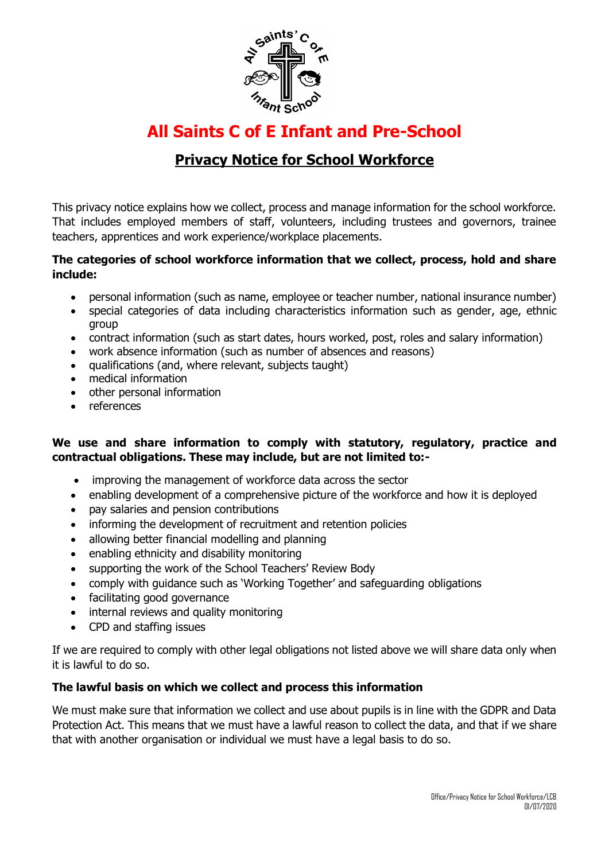

# **All Saints C of E Infant and Pre-School**

# **Privacy Notice for School Workforce**

This privacy notice explains how we collect, process and manage information for the school workforce. That includes employed members of staff, volunteers, including trustees and governors, trainee teachers, apprentices and work experience/workplace placements.

#### **The categories of school workforce information that we collect, process, hold and share include:**

- personal information (such as name, employee or teacher number, national insurance number)
- special categories of data including characteristics information such as gender, age, ethnic group
- contract information (such as start dates, hours worked, post, roles and salary information)
- work absence information (such as number of absences and reasons)
- qualifications (and, where relevant, subjects taught)
- medical information
- other personal information
- references

## **We use and share information to comply with statutory, regulatory, practice and contractual obligations. These may include, but are not limited to:-**

- improving the management of workforce data across the sector
- enabling development of a comprehensive picture of the workforce and how it is deployed
- pay salaries and pension contributions
- informing the development of recruitment and retention policies
- allowing better financial modelling and planning
- enabling ethnicity and disability monitoring
- supporting the work of the School Teachers' Review Body
- comply with guidance such as 'Working Together' and safeguarding obligations
- facilitating good governance
- internal reviews and quality monitoring
- CPD and staffing issues

If we are required to comply with other legal obligations not listed above we will share data only when it is lawful to do so.

## **The lawful basis on which we collect and process this information**

We must make sure that information we collect and use about pupils is in line with the GDPR and Data Protection Act. This means that we must have a lawful reason to collect the data, and that if we share that with another organisation or individual we must have a legal basis to do so.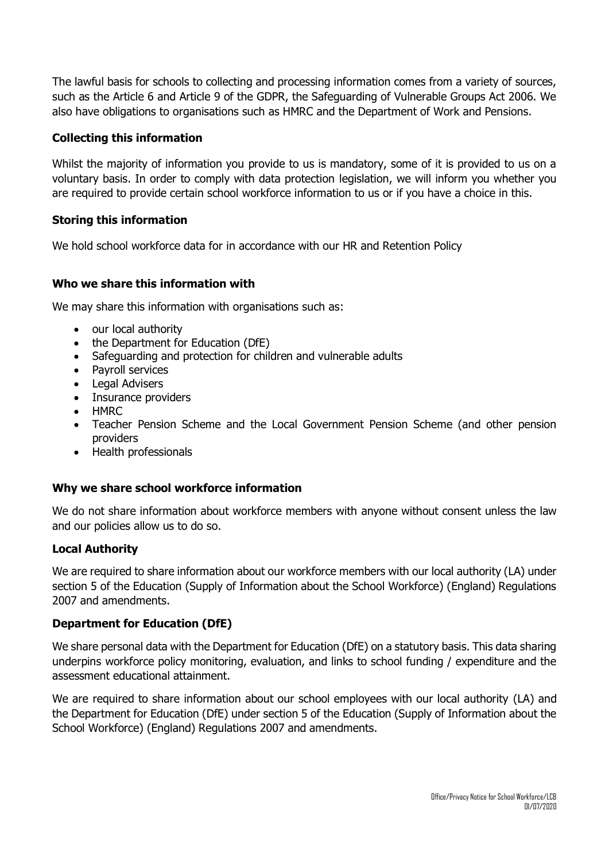The lawful basis for schools to collecting and processing information comes from a variety of sources, such as the Article 6 and Article 9 of the GDPR, the Safeguarding of Vulnerable Groups Act 2006. We also have obligations to organisations such as HMRC and the Department of Work and Pensions.

#### **Collecting this information**

Whilst the majority of information you provide to us is mandatory, some of it is provided to us on a voluntary basis. In order to comply with data protection legislation, we will inform you whether you are required to provide certain school workforce information to us or if you have a choice in this.

#### **Storing this information**

We hold school workforce data for in accordance with our HR and Retention Policy

#### **Who we share this information with**

We may share this information with organisations such as:

- our local authority
- the Department for Education (DfE)
- Safeguarding and protection for children and vulnerable adults
- Payroll services
- Legal Advisers
- Insurance providers
- HMRC
- Teacher Pension Scheme and the Local Government Pension Scheme (and other pension providers
- Health professionals

#### **Why we share school workforce information**

We do not share information about workforce members with anyone without consent unless the law and our policies allow us to do so.

#### **Local Authority**

We are required to share information about our workforce members with our local authority (LA) under section 5 of the Education (Supply of Information about the School Workforce) (England) Regulations 2007 and amendments.

#### **Department for Education (DfE)**

We share personal data with the Department for Education (DfE) on a statutory basis. This data sharing underpins workforce policy monitoring, evaluation, and links to school funding / expenditure and the assessment educational attainment.

We are required to share information about our school employees with our local authority (LA) and the Department for Education (DfE) under section 5 of the Education (Supply of Information about the School Workforce) (England) Regulations 2007 and amendments.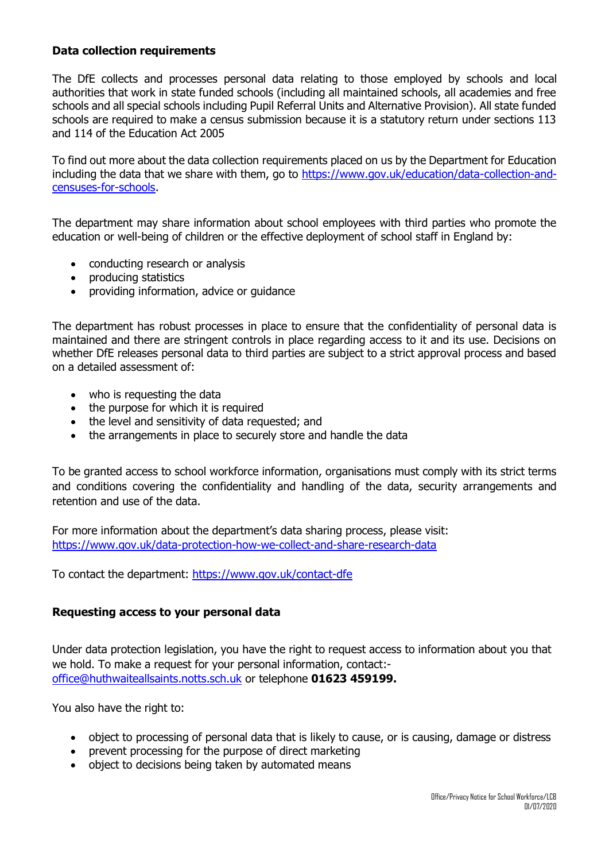#### **Data collection requirements**

The DfE collects and processes personal data relating to those employed by schools and local authorities that work in state funded schools (including all maintained schools, all academies and free schools and all special schools including Pupil Referral Units and Alternative Provision). All state funded schools are required to make a census submission because it is a statutory return under sections 113 and 114 of the Education Act 2005

To find out more about the data collection requirements placed on us by the Department for Education including the data that we share with them, go to [https://www.gov.uk/education/data-collection-and](https://www.gov.uk/education/data-collection-and-censuses-for-schools)[censuses-for-schools.](https://www.gov.uk/education/data-collection-and-censuses-for-schools)

The department may share information about school employees with third parties who promote the education or well-being of children or the effective deployment of school staff in England by:

- conducting research or analysis
- producing statistics
- providing information, advice or guidance

The department has robust processes in place to ensure that the confidentiality of personal data is maintained and there are stringent controls in place regarding access to it and its use. Decisions on whether DfE releases personal data to third parties are subject to a strict approval process and based on a detailed assessment of:

- who is requesting the data
- the purpose for which it is required
- the level and sensitivity of data requested; and
- the arrangements in place to securely store and handle the data

To be granted access to school workforce information, organisations must comply with its strict terms and conditions covering the confidentiality and handling of the data, security arrangements and retention and use of the data.

For more information about the department's data sharing process, please visit: <https://www.gov.uk/data-protection-how-we-collect-and-share-research-data>

To contact the department:<https://www.gov.uk/contact-dfe>

#### **Requesting access to your personal data**

Under data protection legislation, you have the right to request access to information about you that we hold. To make a request for your personal information, contact: [office@huthwaiteallsaints.notts.sch.uk](mailto:office@huthwaiteallsaints.notts.sch.uk) or telephone **01623 459199.** 

You also have the right to:

- object to processing of personal data that is likely to cause, or is causing, damage or distress
- prevent processing for the purpose of direct marketing
- object to decisions being taken by automated means